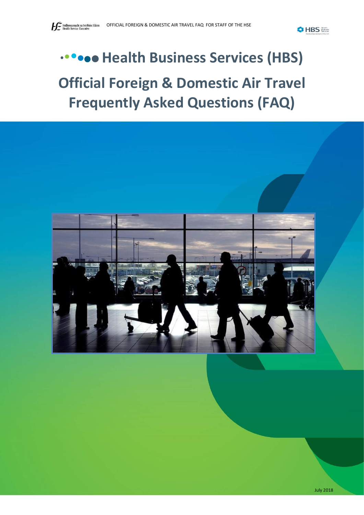**O**HBS

# **We Bealth Business Services (HBS) Official Foreign & Domestic Air Travel Frequently Asked Questions (FAQ)**



July 2018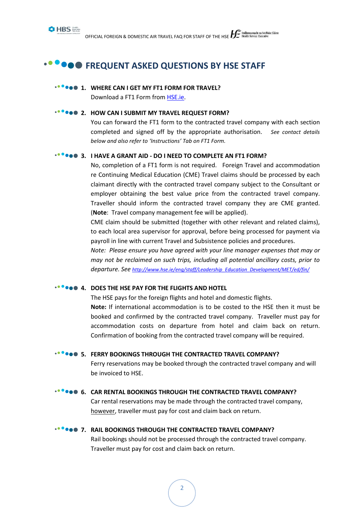

 $\begin{array}{l} \text{OFFICIAL FOREIGN & DOMESTIC AIR TRAVEL FAQ FOR STATE OF THE HSE} \begin{array}{l} \text{Feidhmeannacht na Seithise Sáinte} \end{array} \end{array}$ 

# **FREQUENT ASKED QUESTIONS BY HSE STAFF**

#### **1. WHERE CAN I GET MY FT1 FORM FOR TRAVEL?**

Download a FT1 Form from [HSE.ie.](http://hse.ie/eng/staff/Benefits_Services/Travel_Subsistence/Business_Travel/)

# **2. HOW CAN I SUBMIT MY TRAVEL REQUEST FORM?**

You can forward the FT1 form to the contracted travel company with each section completed and signed off by the appropriate authorisation. *See contact details below and also refer to 'Instructions' Tab on FT1 Form.*

# **3. I HAVE A GRANT AID - DO I NEED TO COMPLETE AN FT1 FORM?**

No, completion of a FT1 form is not required. Foreign Travel and accommodation re Continuing Medical Education (CME) Travel claims should be processed by each claimant directly with the contracted travel company subject to the Consultant or employer obtaining the best value price from the contracted travel company. Traveller should inform the contracted travel company they are CME granted. (**Note**: Travel company management fee will be applied).

CME claim should be submitted (together with other relevant and related claims), to each local area supervisor for approval, before being processed for payment via payroll in line with current Travel and Subsistence policies and procedures.

*Note: Please ensure you have agreed with your line manager expenses that may or may not be reclaimed on such trips, including all potential ancillary costs, prior to departure. See [http://www.hse.ie/eng/staff/Leadership\\_Education\\_Development/MET/ed/fin/](http://www.hse.ie/eng/staff/Leadership_Education_Development/MET/ed/fin/)*

#### **4. DOES THE HSE PAY FOR THE FLIGHTS AND HOTEL**

The HSE pays for the foreign flights and hotel and domestic flights.

**Note:** If international accommodation is to be costed to the HSE then it must be booked and confirmed by the contracted travel company. Traveller must pay for accommodation costs on departure from hotel and claim back on return. Confirmation of booking from the contracted travel company will be required.

#### **FROM S. FERRY BOOKINGS THROUGH THE CONTRACTED TRAVEL COMPANY?**

Ferry reservations may be booked through the contracted travel company and will be invoiced to HSE.

#### **<b>6. CAR RENTAL BOOKINGS THROUGH THE CONTRACTED TRAVEL COMPANY?**

Car rental reservations may be made through the contracted travel company, however, traveller must pay for cost and claim back on return.

#### **7. RAIL BOOKINGS THROUGH THE CONTRACTED TRAVEL COMPANY?**

Rail bookings should not be processed through the contracted travel company. Traveller must pay for cost and claim back on return.